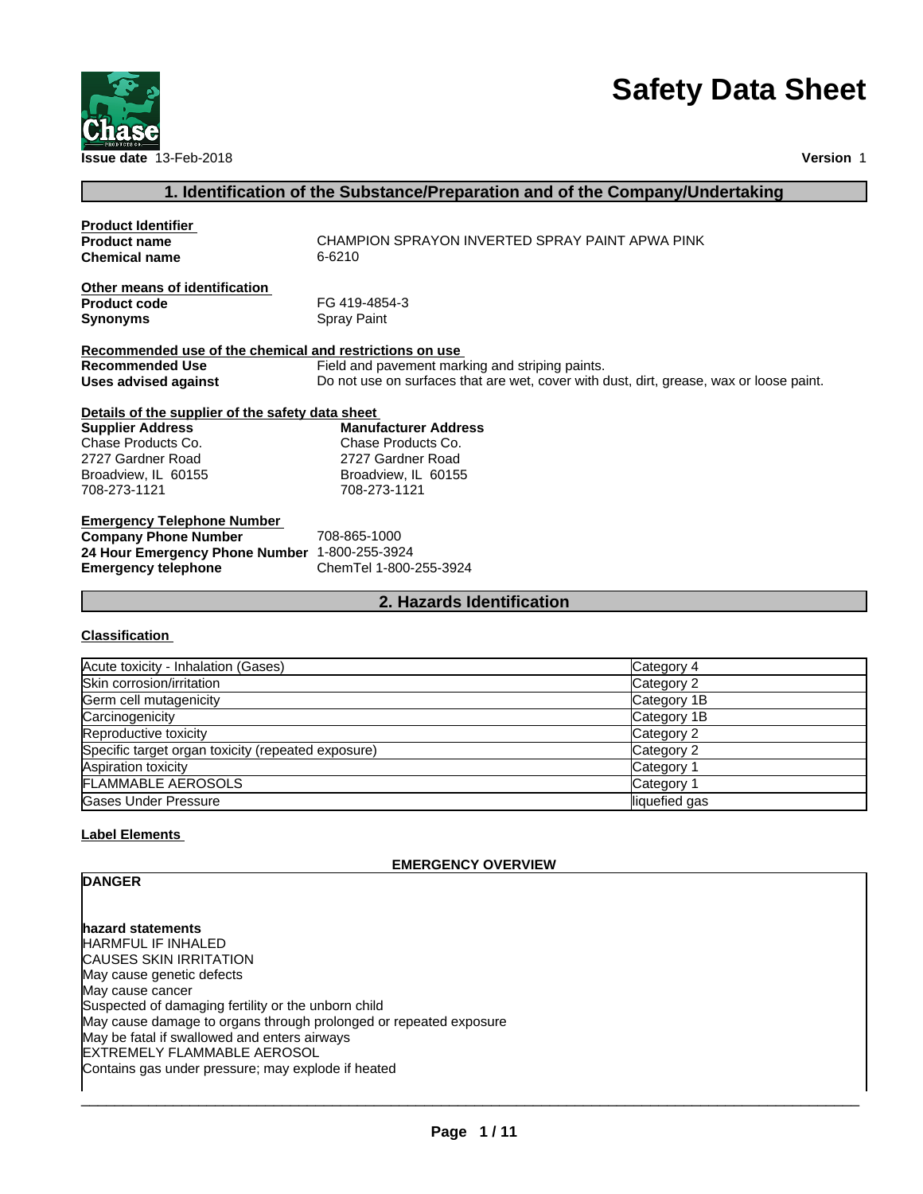

# **Safety Data Sheet**

# **1. Identification of the Substance/Preparation and of the Company/Undertaking**

| <b>Product Identifier</b>                               |                                                                                         |
|---------------------------------------------------------|-----------------------------------------------------------------------------------------|
| <b>Product name</b>                                     | CHAMPION SPRAYON INVERTED SPRAY PAINT APWA PINK                                         |
| <b>Chemical name</b>                                    | 6-6210                                                                                  |
| Other means of identification                           |                                                                                         |
| <b>Product code</b>                                     | FG 419-4854-3                                                                           |
| <b>Synonyms</b>                                         | <b>Spray Paint</b>                                                                      |
| Recommended use of the chemical and restrictions on use |                                                                                         |
| <b>Recommended Use</b>                                  | Field and pavement marking and striping paints.                                         |
| Uses advised against                                    | Do not use on surfaces that are wet, cover with dust, dirt, grease, wax or loose paint. |
| Details of the supplier of the safety data sheet        |                                                                                         |
| <b>Supplier Address</b>                                 | <b>Manufacturer Address</b>                                                             |
| Chase Products Co.                                      | Chase Products Co.                                                                      |
| 2727 Gardner Road                                       | 2727 Gardner Road                                                                       |
| Broadview, IL 60155                                     | Broadview, IL 60155                                                                     |
| 708-273-1121                                            | 708-273-1121                                                                            |
| <b>Emergency Telephone Number</b>                       |                                                                                         |
| <b>Company Phone Number</b>                             | 708-865-1000                                                                            |
| 24 Hour Emergency Phone Number 1-800-255-3924           |                                                                                         |
| <b>Emergency telephone</b>                              | ChemTel 1-800-255-3924                                                                  |

# **2. Hazards Identification**

#### **Classification**

| Acute toxicity - Inhalation (Gases)                | Category 4    |
|----------------------------------------------------|---------------|
| Skin corrosion/irritation                          | Category 2    |
| Germ cell mutagenicity                             | Category 1B   |
| Carcinogenicity                                    | Category 1B   |
| Reproductive toxicity                              | Category 2    |
| Specific target organ toxicity (repeated exposure) | Category 2    |
| Aspiration toxicity                                | Category 1    |
| <b>FLAMMABLE AEROSOLS</b>                          | Category 1    |
| Gases Under Pressure                               | liquefied gas |

### **Label Elements**

#### **EMERGENCY OVERVIEW**

# **DANGER**

**hazard statements** HARMFUL IF INHALED CAUSES SKIN IRRITATION May cause genetic defects May cause cancer Suspected of damaging fertility or the unborn child May cause damage to organs through prolonged or repeated exposure May be fatal if swallowed and enters airways EXTREMELY FLAMMABLE AEROSOL Contains gas under pressure; may explode if heated

 $\frac{1}{2}$  , and the set of the set of the set of the set of the set of the set of the set of the set of the set of the set of the set of the set of the set of the set of the set of the set of the set of the set of the set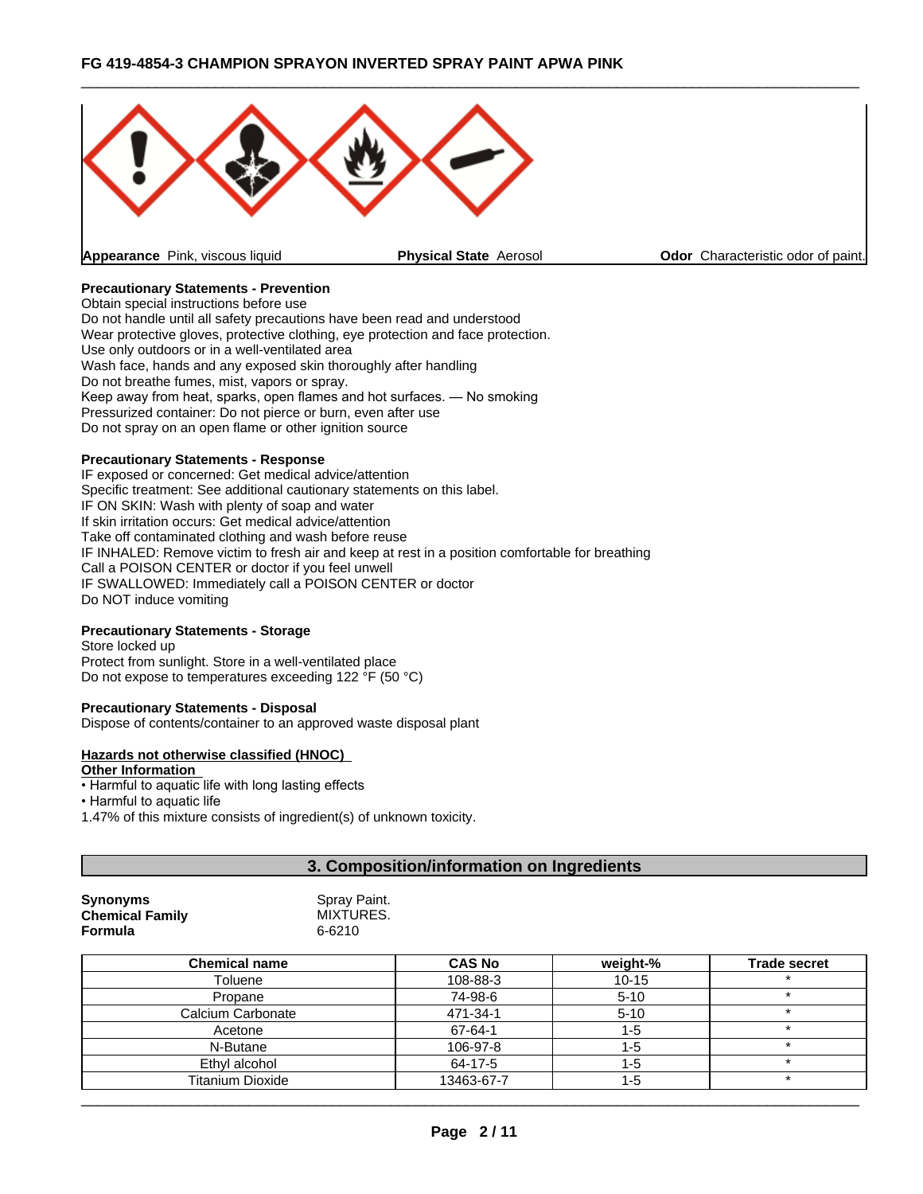

#### **Precautionary Statements - Prevention**

Obtain special instructions before use Do not handle until all safety precautions have been read and understood Wear protective gloves, protective clothing, eye protection and face protection. Use only outdoors or in a well-ventilated area Wash face, hands and any exposed skin thoroughly after handling Do not breathe fumes, mist, vapors or spray.Keep away from heat, sparks, open flames and hot surfaces. — No smoking Pressurized container: Do not pierce or burn, even after use Do not spray on an open flame or other ignition source

#### **Precautionary Statements - Response**

IF exposed or concerned: Get medical advice/attention Specific treatment: See additional cautionary statements on this label. IF ON SKIN: Wash with plenty of soap and water If skin irritation occurs: Get medical advice/attention Take off contaminated clothing and wash before reuse IF INHALED: Remove victim to fresh air and keep at rest in a position comfortable for breathing Call a POISON CENTER or doctor if you feel unwell IF SWALLOWED: Immediately call a POISON CENTER or doctor Do NOT induce vomiting

# **Precautionary Statements - Storage**

Store locked up Protect from sunlight. Store in a well-ventilated place Do not expose to temperatures exceeding 122 °F (50 °C)

#### **Precautionary Statements - Disposal**

Dispose of contents/container to an approved waste disposal plant

# **Hazards not otherwise classified (HNOC)**

#### **Other Information**

• Harmful to aquatic life with long lasting effects

• Harmful to aquatic life

1.47% of this mixture consists of ingredient(s) of unknown toxicity.

# **3. Composition/information on Ingredients**

| <b>Synonyms</b>        | Spray Paint. |
|------------------------|--------------|
| <b>Chemical Family</b> | MIXTURES.    |
| <b>Formula</b>         | 6-6210       |

| <b>Chemical name</b> | <b>CAS No</b> | weight-%  | <b>Trade secret</b> |
|----------------------|---------------|-----------|---------------------|
| Toluene              | 108-88-3      | $10 - 15$ |                     |
| Propane              | 74-98-6       | $5 - 10$  |                     |
| Calcium Carbonate    | 471-34-1      | $5 - 10$  |                     |
| Acetone              | 67-64-1       | 1-5       |                     |
| N-Butane             | 106-97-8      | 1-5       |                     |
| Ethyl alcohol        | 64-17-5       | 1-5       |                     |
| Titanium Dioxide     | 13463-67-7    | 1-5       |                     |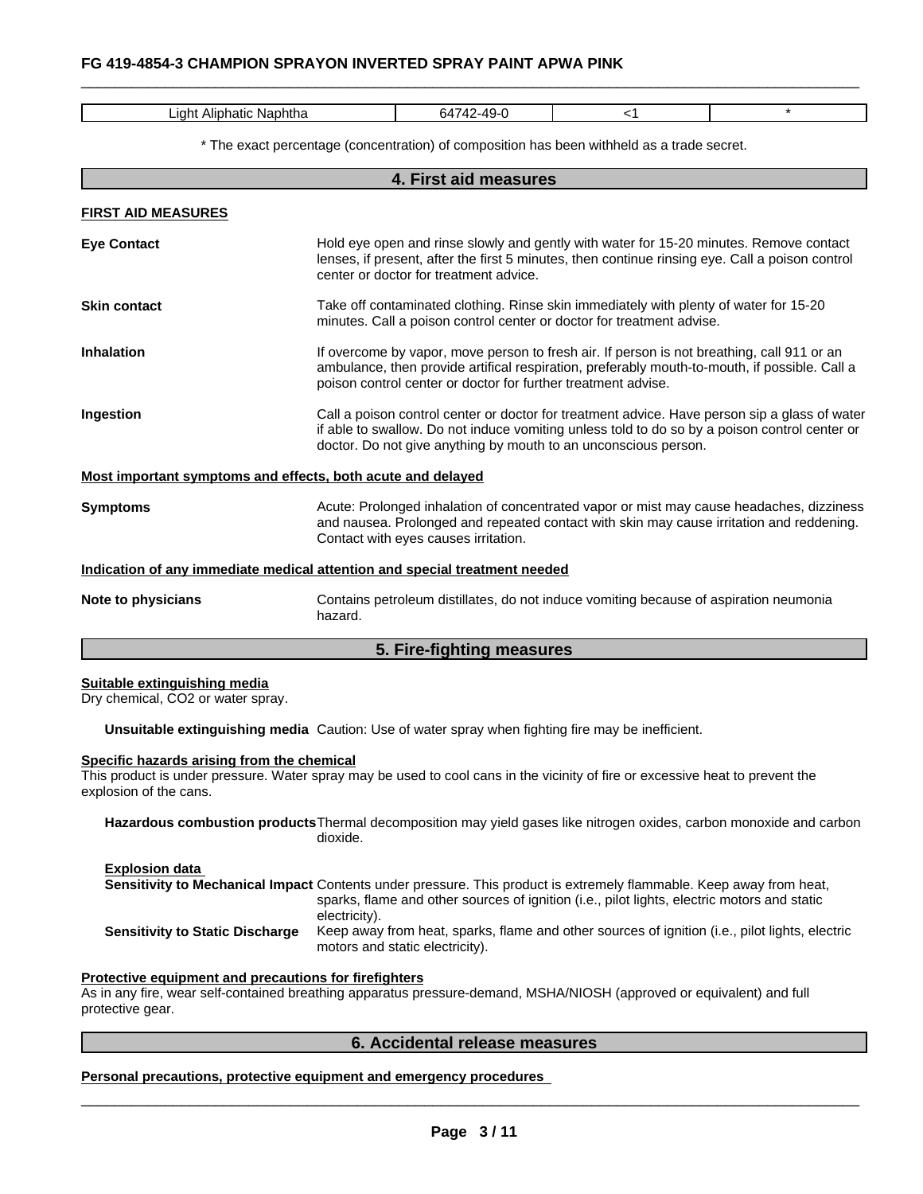| laht<br>. Aliph<br>12 TIC<br>- 13.14<br>'apnina | .<br><u>671</u> |  |
|-------------------------------------------------|-----------------|--|

\* The exact percentage (concentration) of composition has been withheld as a trade secret.

|                           | 4. First aid measures                                                                                                                                                                                                                                             |
|---------------------------|-------------------------------------------------------------------------------------------------------------------------------------------------------------------------------------------------------------------------------------------------------------------|
| <b>FIRST AID MEASURES</b> |                                                                                                                                                                                                                                                                   |
| <b>Eye Contact</b>        | Hold eye open and rinse slowly and gently with water for 15-20 minutes. Remove contact<br>lenses, if present, after the first 5 minutes, then continue rinsing eye. Call a poison control<br>center or doctor for treatment advice.                               |
| <b>Skin contact</b>       | Take off contaminated clothing. Rinse skin immediately with plenty of water for 15-20<br>minutes. Call a poison control center or doctor for treatment advise.                                                                                                    |
| <b>Inhalation</b>         | If overcome by vapor, move person to fresh air. If person is not breathing, call 911 or an<br>ambulance, then provide artifical respiration, preferably mouth-to-mouth, if possible. Call a<br>poison control center or doctor for further treatment advise.      |
| Ingestion                 | Call a poison control center or doctor for treatment advice. Have person sip a glass of water<br>if able to swallow. Do not induce vomiting unless told to do so by a poison control center or<br>doctor. Do not give anything by mouth to an unconscious person. |
|                           | Most important symptoms and effects, both acute and delayed                                                                                                                                                                                                       |
| <b>Symptoms</b>           | Acute: Prolonged inhalation of concentrated vapor or mist may cause headaches, dizziness<br>and nausea. Prolonged and repeated contact with skin may cause irritation and reddening.<br>Contact with eyes causes irritation.                                      |
|                           | Indication of any immediate medical attention and special treatment needed                                                                                                                                                                                        |
| Note to physicians        | Contains petroleum distillates, do not induce vomiting because of aspiration neumonia<br>hazard.                                                                                                                                                                  |
|                           | 5. Fire-fighting measures                                                                                                                                                                                                                                         |

#### **Suitable extinguishing media**

Γ

Dry chemical, CO2 or water spray.

**Unsuitable extinguishing media** Caution: Use of water spray when fighting fire may be inefficient.

# **Specific hazards arising from the chemical**

This product is under pressure. Water spray may be used to cool cans in the vicinity of fire or excessive heat to prevent the explosion of the cans.

**Hazardous combustion products**Thermal decomposition may yield gases like nitrogen oxides, carbon monoxide and carbon dioxide.

#### **Explosion data**

**Sensitivity to Mechanical Impact** Contents under pressure. This product is extremely flammable. Keep away from heat, sparks, flame and other sources of ignition (i.e., pilot lights, electric motors and static electricity). **Sensitivity to Static Discharge** Keep away from heat, sparks, flame and other sources of ignition (i.e., pilot lights, electric motors and static electricity).

#### **Protective equipment and precautions for firefighters**

As in any fire, wear self-contained breathing apparatus pressure-demand, MSHA/NIOSH (approved or equivalent) and full protective gear.

### **6. Accidental release measures**

**Personal precautions, protective equipment and emergency procedures**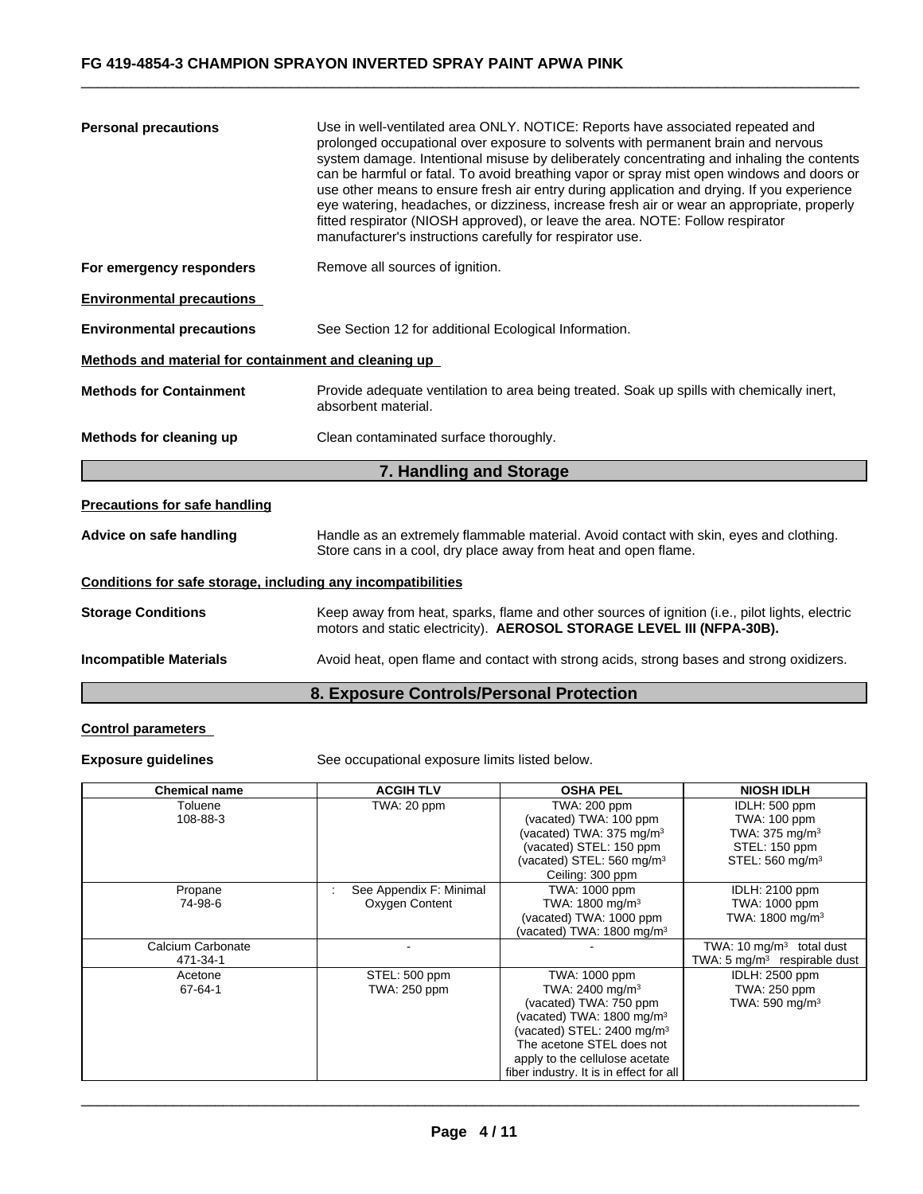| <b>Personal precautions</b>                                  | Use in well-ventilated area ONLY. NOTICE: Reports have associated repeated and<br>prolonged occupational over exposure to solvents with permanent brain and nervous<br>system damage. Intentional misuse by deliberately concentrating and inhaling the contents<br>can be harmful or fatal. To avoid breathing vapor or spray mist open windows and doors or<br>use other means to ensure fresh air entry during application and drying. If you experience<br>eye watering, headaches, or dizziness, increase fresh air or wear an appropriate, properly<br>fitted respirator (NIOSH approved), or leave the area. NOTE: Follow respirator<br>manufacturer's instructions carefully for respirator use. |
|--------------------------------------------------------------|----------------------------------------------------------------------------------------------------------------------------------------------------------------------------------------------------------------------------------------------------------------------------------------------------------------------------------------------------------------------------------------------------------------------------------------------------------------------------------------------------------------------------------------------------------------------------------------------------------------------------------------------------------------------------------------------------------|
| For emergency responders                                     | Remove all sources of ignition.                                                                                                                                                                                                                                                                                                                                                                                                                                                                                                                                                                                                                                                                          |
| <b>Environmental precautions</b>                             |                                                                                                                                                                                                                                                                                                                                                                                                                                                                                                                                                                                                                                                                                                          |
| <b>Environmental precautions</b>                             | See Section 12 for additional Ecological Information.                                                                                                                                                                                                                                                                                                                                                                                                                                                                                                                                                                                                                                                    |
| Methods and material for containment and cleaning up         |                                                                                                                                                                                                                                                                                                                                                                                                                                                                                                                                                                                                                                                                                                          |
| <b>Methods for Containment</b>                               | Provide adequate ventilation to area being treated. Soak up spills with chemically inert,<br>absorbent material.                                                                                                                                                                                                                                                                                                                                                                                                                                                                                                                                                                                         |
| Methods for cleaning up                                      | Clean contaminated surface thoroughly.                                                                                                                                                                                                                                                                                                                                                                                                                                                                                                                                                                                                                                                                   |
|                                                              | 7. Handling and Storage                                                                                                                                                                                                                                                                                                                                                                                                                                                                                                                                                                                                                                                                                  |
| <b>Precautions for safe handling</b>                         |                                                                                                                                                                                                                                                                                                                                                                                                                                                                                                                                                                                                                                                                                                          |
| Advice on safe handling                                      | Handle as an extremely flammable material. Avoid contact with skin, eyes and clothing.<br>Store cans in a cool, dry place away from heat and open flame.                                                                                                                                                                                                                                                                                                                                                                                                                                                                                                                                                 |
| Conditions for safe storage, including any incompatibilities |                                                                                                                                                                                                                                                                                                                                                                                                                                                                                                                                                                                                                                                                                                          |
| <b>Storage Conditions</b>                                    | Keep away from heat, sparks, flame and other sources of ignition (i.e., pilot lights, electric<br>motors and static electricity). AEROSOL STORAGE LEVEL III (NFPA-30B).                                                                                                                                                                                                                                                                                                                                                                                                                                                                                                                                  |
| <b>Incompatible Materials</b>                                | Avoid heat, open flame and contact with strong acids, strong bases and strong oxidizers.                                                                                                                                                                                                                                                                                                                                                                                                                                                                                                                                                                                                                 |
|                                                              | 8. Exposure Controls/Personal Protection                                                                                                                                                                                                                                                                                                                                                                                                                                                                                                                                                                                                                                                                 |

### **Control parameters**

**Exposure guidelines** See occupational exposure limits listed below.

| <b>Chemical name</b> | <b>ACGIH TLV</b>        | <b>OSHA PEL</b>                         | <b>NIOSH IDLH</b>                       |
|----------------------|-------------------------|-----------------------------------------|-----------------------------------------|
| Toluene              | TWA: 20 ppm             | TWA: 200 ppm                            | IDLH: 500 ppm                           |
| 108-88-3             |                         | (vacated) TWA: 100 ppm                  | <b>TWA: 100 ppm</b>                     |
|                      |                         | (vacated) TWA: 375 mg/m <sup>3</sup>    | TWA: $375 \text{ mg/m}^3$               |
|                      |                         | (vacated) STEL: 150 ppm                 | STEL: 150 ppm                           |
|                      |                         | (vacated) STEL: 560 mg/m <sup>3</sup>   | STEL: 560 mg/m <sup>3</sup>             |
|                      |                         | Ceiling: 300 ppm                        |                                         |
| Propane              | See Appendix F: Minimal | TWA: 1000 ppm                           | <b>IDLH: 2100 ppm</b>                   |
| 74-98-6              | Oxygen Content          | TWA: 1800 mg/m <sup>3</sup>             | TWA: 1000 ppm                           |
|                      |                         | (vacated) TWA: 1000 ppm                 | TWA: 1800 mg/m <sup>3</sup>             |
|                      |                         | (vacated) TWA: $1800 \text{ mg/m}^3$    |                                         |
| Calcium Carbonate    |                         |                                         | TWA: 10 $mg/m3$ total dust              |
| 471-34-1             |                         |                                         | TWA: $5 \text{ mg/m}^3$ respirable dust |
| Acetone              | STEL: 500 ppm           | TWA: 1000 ppm                           | <b>IDLH: 2500 ppm</b>                   |
| 67-64-1              | TWA: 250 ppm            | TWA: 2400 mg/m <sup>3</sup>             | TWA: 250 ppm                            |
|                      |                         | (vacated) TWA: 750 ppm                  | TWA: 590 mg/m $3$                       |
|                      |                         | (vacated) TWA: 1800 mg/m <sup>3</sup>   |                                         |
|                      |                         | (vacated) STEL: 2400 mg/m <sup>3</sup>  |                                         |
|                      |                         | The acetone STEL does not               |                                         |
|                      |                         | apply to the cellulose acetate          |                                         |
|                      |                         | fiber industry. It is in effect for all |                                         |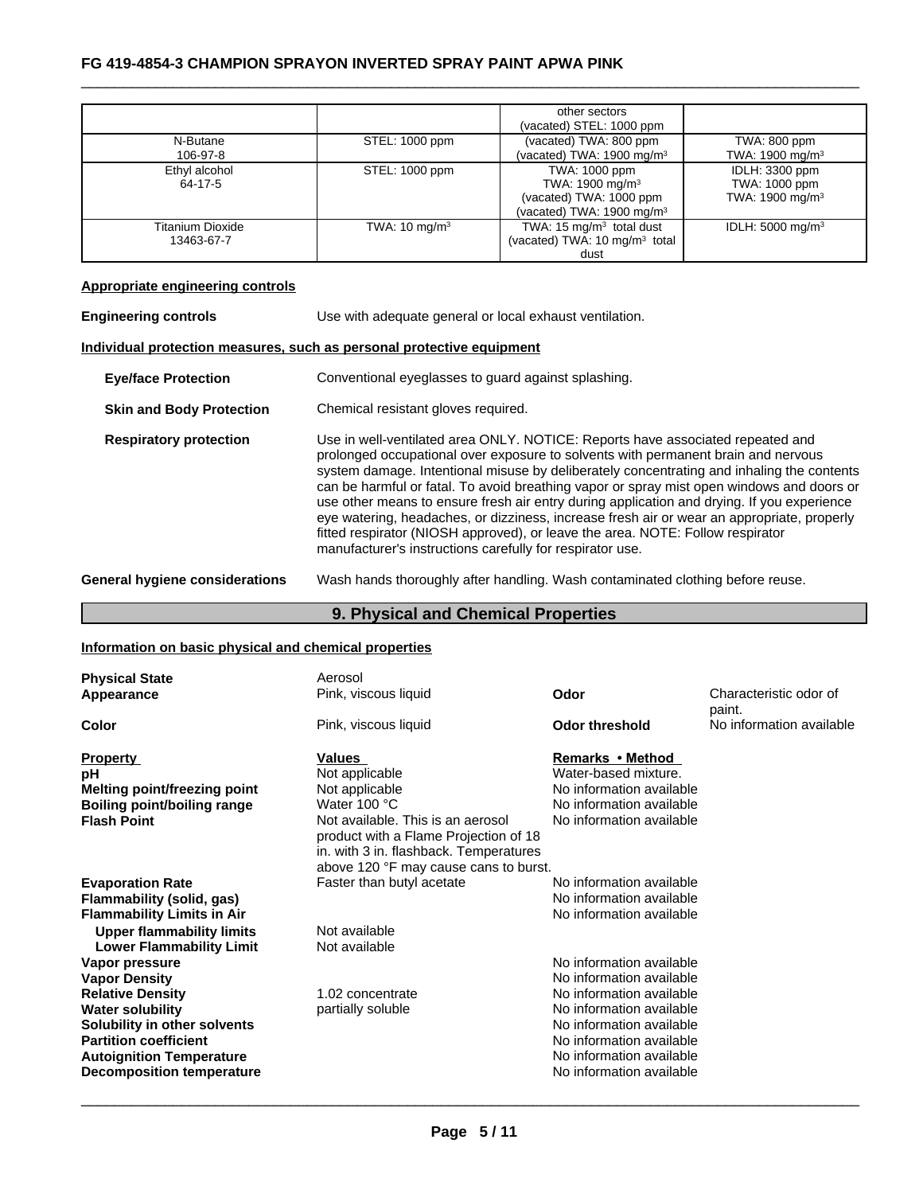|                  |                          | other sectors                             |                              |
|------------------|--------------------------|-------------------------------------------|------------------------------|
|                  |                          | (vacated) STEL: 1000 ppm                  |                              |
| N-Butane         | STEL: 1000 ppm           | (vacated) TWA: 800 ppm                    | TWA: 800 ppm                 |
| 106-97-8         |                          | (vacated) TWA: $1900 \text{ mg/m}^3$      | TWA: 1900 mg/m <sup>3</sup>  |
| Ethyl alcohol    | STEL: 1000 ppm           | TWA: 1000 ppm                             | IDLH: 3300 ppm               |
| 64-17-5          |                          | TWA: $1900 \text{ mg/m}^3$                | TWA: 1000 ppm                |
|                  |                          | (vacated) TWA: 1000 ppm                   | TWA: 1900 mg/m <sup>3</sup>  |
|                  |                          | (vacated) TWA: $1900 \text{ mg/m}^3$      |                              |
| Titanium Dioxide | TWA: $10 \text{ mg/m}^3$ | TWA: 15 $mg/m3$ total dust                | IDLH: 5000 mg/m <sup>3</sup> |
| 13463-67-7       |                          | (vacated) TWA: 10 mg/m <sup>3</sup> total |                              |
|                  |                          | dust                                      |                              |

# **Appropriate engineering controls**

| <b>Engineering controls</b>           | Use with adequate general or local exhaust ventilation.                                                                                                                                                                                                                                                                                                                                                                                                                                                                                                                                                                                                                                                  |
|---------------------------------------|----------------------------------------------------------------------------------------------------------------------------------------------------------------------------------------------------------------------------------------------------------------------------------------------------------------------------------------------------------------------------------------------------------------------------------------------------------------------------------------------------------------------------------------------------------------------------------------------------------------------------------------------------------------------------------------------------------|
|                                       | Individual protection measures, such as personal protective equipment                                                                                                                                                                                                                                                                                                                                                                                                                                                                                                                                                                                                                                    |
| <b>Eye/face Protection</b>            | Conventional eyeglasses to quard against splashing.                                                                                                                                                                                                                                                                                                                                                                                                                                                                                                                                                                                                                                                      |
| <b>Skin and Body Protection</b>       | Chemical resistant gloves required.                                                                                                                                                                                                                                                                                                                                                                                                                                                                                                                                                                                                                                                                      |
| <b>Respiratory protection</b>         | Use in well-ventilated area ONLY. NOTICE: Reports have associated repeated and<br>prolonged occupational over exposure to solvents with permanent brain and nervous<br>system damage. Intentional misuse by deliberately concentrating and inhaling the contents<br>can be harmful or fatal. To avoid breathing vapor or spray mist open windows and doors or<br>use other means to ensure fresh air entry during application and drying. If you experience<br>eye watering, headaches, or dizziness, increase fresh air or wear an appropriate, properly<br>fitted respirator (NIOSH approved), or leave the area. NOTE: Follow respirator<br>manufacturer's instructions carefully for respirator use. |
| <b>General hygiene considerations</b> | Wash hands thoroughly after handling. Wash contaminated clothing before reuse.                                                                                                                                                                                                                                                                                                                                                                                                                                                                                                                                                                                                                           |

# **9. Physical and Chemical Properties**

# **Information on basic physical and chemical properties**

| <b>Physical State</b><br>Appearance                                                                                                                                                       | Aerosol<br>Pink, viscous liquid                                                                                                                                                                                                             | Odor                                                                                                                                                                 | Characteristic odor of             |
|-------------------------------------------------------------------------------------------------------------------------------------------------------------------------------------------|---------------------------------------------------------------------------------------------------------------------------------------------------------------------------------------------------------------------------------------------|----------------------------------------------------------------------------------------------------------------------------------------------------------------------|------------------------------------|
| <b>Color</b>                                                                                                                                                                              | Pink, viscous liquid                                                                                                                                                                                                                        | Odor threshold                                                                                                                                                       | paint.<br>No information available |
| <b>Property</b><br>рH<br><b>Melting point/freezing point</b><br><b>Boiling point/boiling range</b><br><b>Flash Point</b>                                                                  | <b>Values</b><br>Not applicable<br>Not applicable<br>Water 100 $\degree$ C<br>Not available. This is an aerosol<br>product with a Flame Projection of 18<br>in. with 3 in. flashback. Temperatures<br>above 120 °F may cause cans to burst. | Remarks • Method<br>Water-based mixture.<br>No information available<br>No information available<br>No information available                                         |                                    |
| <b>Evaporation Rate</b><br>Flammability (solid, gas)<br><b>Flammability Limits in Air</b>                                                                                                 | Faster than butyl acetate                                                                                                                                                                                                                   | No information available<br>No information available<br>No information available                                                                                     |                                    |
| <b>Upper flammability limits</b><br><b>Lower Flammability Limit</b><br>Vapor pressure                                                                                                     | Not available<br>Not available                                                                                                                                                                                                              | No information available                                                                                                                                             |                                    |
| <b>Vapor Density</b>                                                                                                                                                                      |                                                                                                                                                                                                                                             | No information available                                                                                                                                             |                                    |
| <b>Relative Density</b><br><b>Water solubility</b><br>Solubility in other solvents<br><b>Partition coefficient</b><br><b>Autoignition Temperature</b><br><b>Decomposition temperature</b> | 1.02 concentrate<br>partially soluble                                                                                                                                                                                                       | No information available<br>No information available<br>No information available<br>No information available<br>No information available<br>No information available |                                    |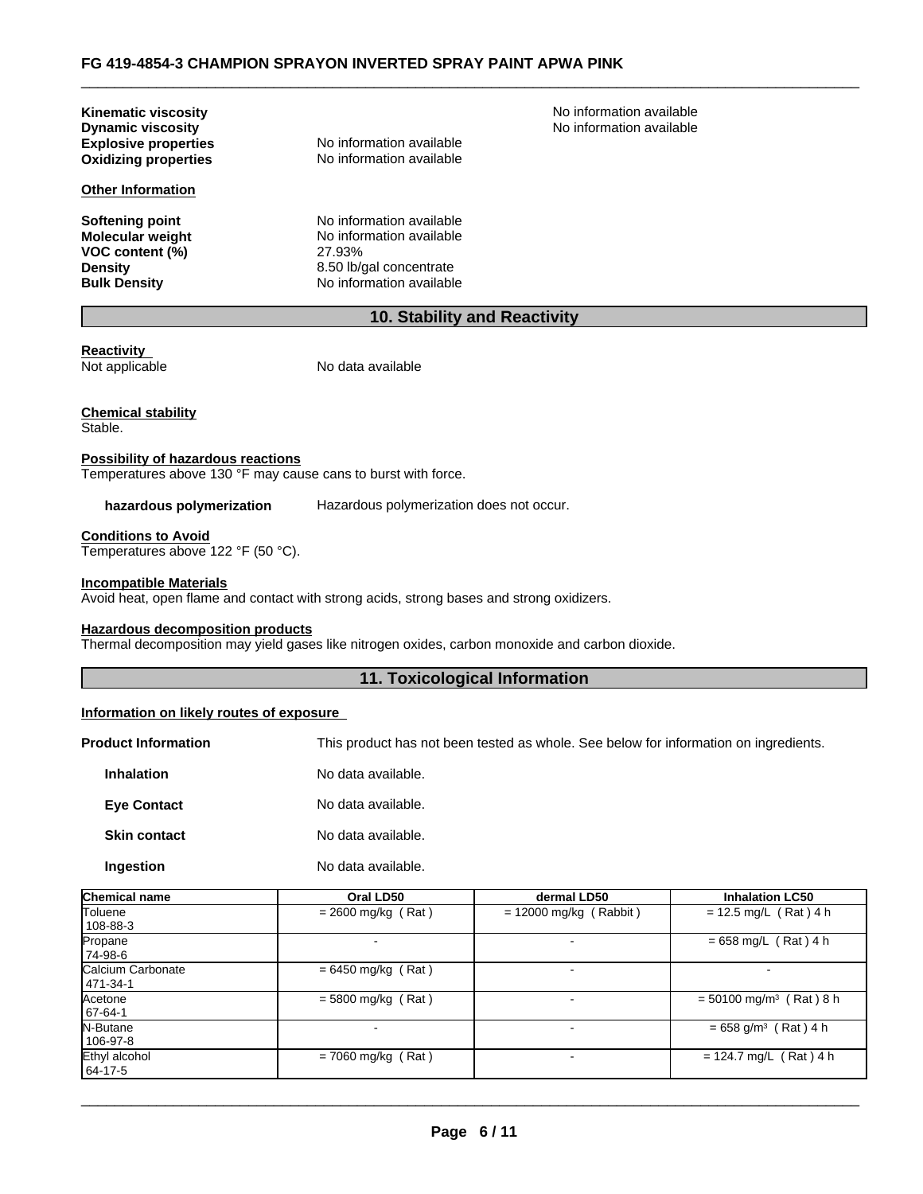**Other Information**

**VOC content (%)** 27.93%

**Explosive properties** No information available **Oxidizing properties** No information available

**Softening point** No information available **Molecular weight** No information available **Density** 8.50 lb/gal concentrate **Bulk Density** No information available

**Kinematic viscosity No information available No information available No** information available **Dynamic viscosity Dynamic viscosity No information available No** information available

**10. Stability and Reactivity**

**Reactivity**

Not applicable No data available

**Chemical stability** Stable.

#### **Possibility of hazardous reactions**

Temperatures above 130 °F may cause cans to burst with force.

**hazardous polymerization** Hazardous polymerization does not occur.

#### **Conditions to Avoid**

Temperatures above 122 °F (50 °C).

#### **Incompatible Materials**

Avoid heat, open flame and contact with strong acids, strong bases and strong oxidizers.

# **Hazardous decomposition products**

Thermal decomposition may yield gases like nitrogen oxides, carbon monoxide and carbon dioxide.

# **11. Toxicological Information**

#### **Information on likely routes of exposure**

**Product Information** This product has not been tested as whole. See below for information on ingredients. **Inhalation** No data available. **Eye Contact** No data available. **Skin contact** No data available. **Ingestion** No data available.

| Chemical name     | Oral LD50            | dermal LD50              | <b>Inhalation LC50</b>                |
|-------------------|----------------------|--------------------------|---------------------------------------|
| Toluene           | $= 2600$ mg/kg (Rat) | $= 12000$ mg/kg (Rabbit) | $= 12.5$ mg/L (Rat) 4 h               |
| 108-88-3          |                      |                          |                                       |
| Propane           |                      |                          | $= 658$ mg/L (Rat) 4 h                |
| 74-98-6           |                      |                          |                                       |
| Calcium Carbonate | $= 6450$ mg/kg (Rat) |                          |                                       |
| 471-34-1          |                      |                          |                                       |
| Acetone           | $= 5800$ mg/kg (Rat) |                          | $= 50100$ mg/m <sup>3</sup> (Rat) 8 h |
| 67-64-1           |                      |                          |                                       |
| N-Butane          |                      |                          | $= 658$ g/m <sup>3</sup> (Rat) 4 h    |
| 106-97-8          |                      |                          |                                       |
| Ethyl alcohol     | $= 7060$ mg/kg (Rat) |                          | $= 124.7$ mg/L (Rat) 4 h              |
| 64-17-5           |                      |                          |                                       |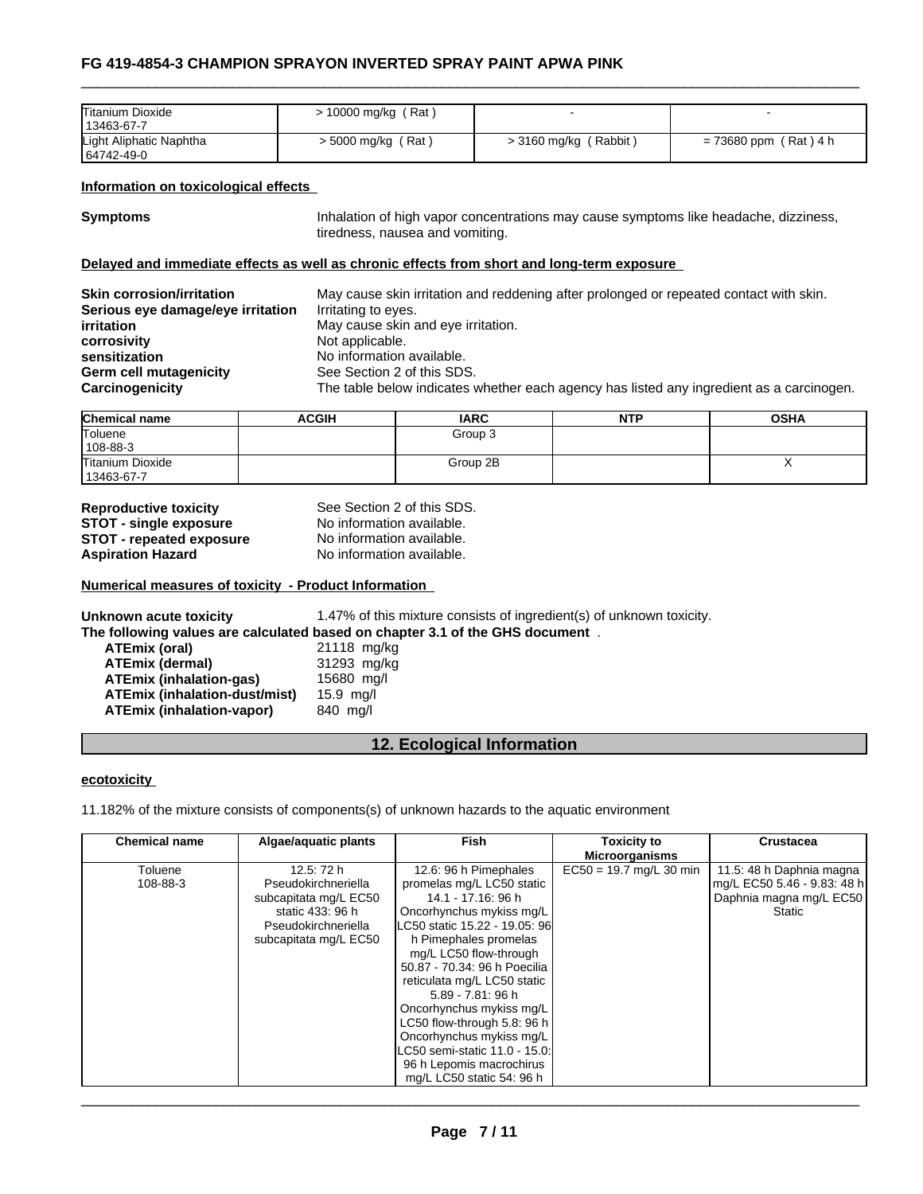| Titanium Dioxide<br>13463-67-7 | 10000 mg/kg (Rat) |              |               |
|--------------------------------|-------------------|--------------|---------------|
| Light Aliphatic Naphtha        | ′ Rat ,           | Rabbit       | $(Rat)$ 4 h   |
| 64742-49-0                     | > 5000 mg/kg /    | > 3160 mg/kg | $= 73680$ ppm |

#### **Information on toxicological effects**

**Symptoms Inhalation of high vapor concentrations may cause symptoms like headache, dizziness,** tiredness, nausea and vomiting.

#### **Delayed and immediate effects as well as chronic effects from short and long-term exposure**

| <b>Skin corrosion/irritation</b>  | May cause skin irritation and reddening after prolonged or repeated contact with skin.   |
|-----------------------------------|------------------------------------------------------------------------------------------|
| Serious eye damage/eye irritation | Irritating to eyes.                                                                      |
| <i>irritation</i>                 | May cause skin and eye irritation.                                                       |
| corrosivity                       | Not applicable.                                                                          |
| sensitization                     | No information available.                                                                |
| Germ cell mutagenicity            | See Section 2 of this SDS.                                                               |
| Carcinogenicity                   | The table below indicates whether each agency has listed any ingredient as a carcinogen. |

| Chemical name    | <b>ACGIH</b> | <b>IARC</b> | <b>NTP</b> | <b>OSHA</b> |
|------------------|--------------|-------------|------------|-------------|
| Toluene          |              | Group 3     |            |             |
| $108 - 88 - 3$   |              |             |            |             |
| Titanium Dioxide |              | Group 2B    |            | $\lambda$   |
| 13463-67-7       |              |             |            |             |

| <b>Reproductive toxicity</b>  | See Section 2 of this SDS. |  |
|-------------------------------|----------------------------|--|
| <b>STOT - single exposure</b> | No information available.  |  |
| STOT - repeated exposure      | No information available.  |  |
| Aspiration Hazard             | No information available.  |  |

#### **Numerical measures of toxicity - Product Information**

**Unknown acute toxicity** 1.47% of this mixture consists of ingredient(s) of unknown toxicity. **The following values are calculated based on chapter 3.1 of the GHS document** . **ATEmix (oral)** 21118 mg/kg **ATEmix (dermal)**<br>**ATEmix (inhalation-gas)** 15680 mg/l **ATEmix (inhalation-gas)** 15680 mg/l **ATEmix (inhalation-dust/mist)** 15.9 mg/l **ATEmix** (inhalation-vapor)

# **12. Ecological Information**

#### **ecotoxicity**

11.182% of the mixture consists of components(s) of unknown hazards to the aquatic environment

| <b>Chemical name</b> | Algae/aquatic plants  | Fish                          | <b>Toxicity to</b>        | <b>Crustacea</b>            |
|----------------------|-----------------------|-------------------------------|---------------------------|-----------------------------|
|                      |                       |                               | <b>Microorganisms</b>     |                             |
| Toluene              | 12.5: 72 h            | 12.6: 96 h Pimephales         | $EC50 = 19.7$ mg/L 30 min | 11.5: 48 h Daphnia magna    |
| 108-88-3             | Pseudokirchneriella   | promelas mg/L LC50 static     |                           | mg/L EC50 5.46 - 9.83: 48 h |
|                      | subcapitata mg/L EC50 | 14.1 - 17.16: 96 h            |                           | Daphnia magna mg/L EC50     |
|                      | static 433: 96 h      | Oncorhynchus mykiss mg/L      |                           | Static                      |
|                      | Pseudokirchneriella   | LC50 static 15.22 - 19.05: 96 |                           |                             |
|                      | subcapitata mg/L EC50 | h Pimephales promelas         |                           |                             |
|                      |                       | mg/L LC50 flow-through        |                           |                             |
|                      |                       | 50.87 - 70.34: 96 h Poecilia  |                           |                             |
|                      |                       | reticulata mg/L LC50 static   |                           |                             |
|                      |                       | 5.89 - 7.81: 96 h             |                           |                             |
|                      |                       | Oncorhynchus mykiss mg/L      |                           |                             |
|                      |                       | LC50 flow-through 5.8: 96 h   |                           |                             |
|                      |                       | Oncorhynchus mykiss mg/L      |                           |                             |
|                      |                       | LC50 semi-static 11.0 - 15.0: |                           |                             |
|                      |                       | 96 h Lepomis macrochirus      |                           |                             |
|                      |                       | mg/L LC50 static 54: 96 h     |                           |                             |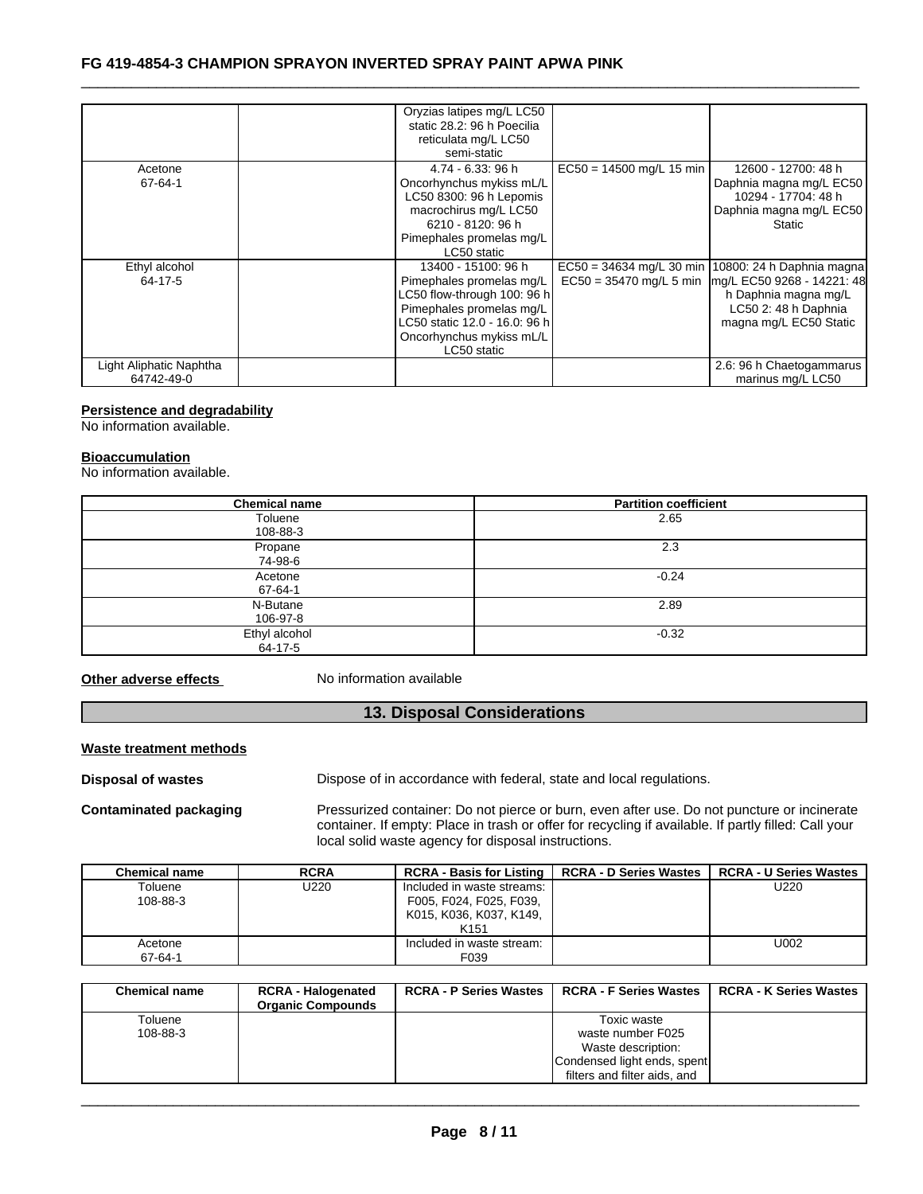|                         | Oryzias latipes mg/L LC50     |                            |                                                    |
|-------------------------|-------------------------------|----------------------------|----------------------------------------------------|
|                         | static 28.2: 96 h Poecilia    |                            |                                                    |
|                         | reticulata mg/L LC50          |                            |                                                    |
|                         | semi-static                   |                            |                                                    |
| Acetone                 | 4.74 - 6.33: 96 h             | $EC50 = 14500$ mg/L 15 min | 12600 - 12700: 48 h                                |
| 67-64-1                 | Oncorhynchus mykiss mL/L      |                            | Daphnia magna mg/L EC50                            |
|                         | LC50 8300: 96 h Lepomis       |                            | 10294 - 17704: 48 h                                |
|                         | macrochirus mg/L LC50         |                            | Daphnia magna mg/L EC50                            |
|                         | 6210 - 8120: 96 h             |                            | Static                                             |
|                         | Pimephales promelas mg/L      |                            |                                                    |
|                         | LC50 static                   |                            |                                                    |
| Ethyl alcohol           | 13400 - 15100: 96 h           |                            | EC50 = 34634 mg/L 30 min 10800: 24 h Daphnia magna |
| 64-17-5                 | Pimephales promelas mg/L      | $EC50 = 35470$ mg/L 5 min  | mg/L EC50 9268 - 14221: 48                         |
|                         | LC50 flow-through 100: 96 h   |                            | h Daphnia magna mg/L                               |
|                         | Pimephales promelas mg/L      |                            | LC50 2: 48 h Daphnia                               |
|                         | LC50 static 12.0 - 16.0: 96 h |                            | magna mg/L EC50 Static                             |
|                         | Oncorhynchus mykiss mL/L      |                            |                                                    |
|                         | LC50 static                   |                            |                                                    |
| Light Aliphatic Naphtha |                               |                            | 2.6: 96 h Chaetogammarus                           |
| 64742-49-0              |                               |                            | marinus mg/L LC50                                  |

#### **Persistence and degradability**

No information available.

#### **Bioaccumulation**

No information available.

| <b>Chemical name</b>     | <b>Partition coefficient</b> |
|--------------------------|------------------------------|
| Toluene<br>108-88-3      | 2.65                         |
| Propane<br>74-98-6       | 2.3                          |
| Acetone<br>$67 - 64 - 1$ | $-0.24$                      |
| N-Butane<br>106-97-8     | 2.89                         |
| Ethyl alcohol<br>64-17-5 | $-0.32$                      |

**Other adverse effects** No information available

# **13. Disposal Considerations**

# **Waste treatment methods**

**Disposal of wastes** Dispose of in accordance with federal, state and local regulations.

**Contaminated packaging** Pressurized container: Do not pierce or burn, even after use. Do not puncture or incinerate container. If empty: Place in trash or offer for recycling if available. If partly filled: Call your local solid waste agency for disposal instructions.

| <b>Chemical name</b> | <b>RCRA</b> | <b>RCRA - Basis for Listing</b>                                                                      | <b>RCRA - D Series Wastes</b> | <b>RCRA - U Series Wastes</b> |
|----------------------|-------------|------------------------------------------------------------------------------------------------------|-------------------------------|-------------------------------|
| Toluene<br>108-88-3  | U220        | Included in waste streams:<br>F005, F024, F025, F039,<br>K015, K036, K037, K149,<br>K <sub>151</sub> |                               | U220                          |
| Acetone<br>67-64-1   |             | Included in waste stream:<br>F039                                                                    |                               | U002                          |

| <b>Chemical name</b> | <b>RCRA - Halogenated</b><br><b>Organic Compounds</b> | <b>RCRA - P Series Wastes</b> | <b>RCRA - F Series Wastes</b> | <b>RCRA - K Series Wastes</b> |
|----------------------|-------------------------------------------------------|-------------------------------|-------------------------------|-------------------------------|
| Toluene              |                                                       |                               | Toxic waste                   |                               |
| 108-88-3             |                                                       |                               | waste number F025             |                               |
|                      |                                                       |                               | Waste description:            |                               |
|                      |                                                       |                               | Condensed light ends, spent   |                               |
|                      |                                                       |                               | filters and filter aids, and  |                               |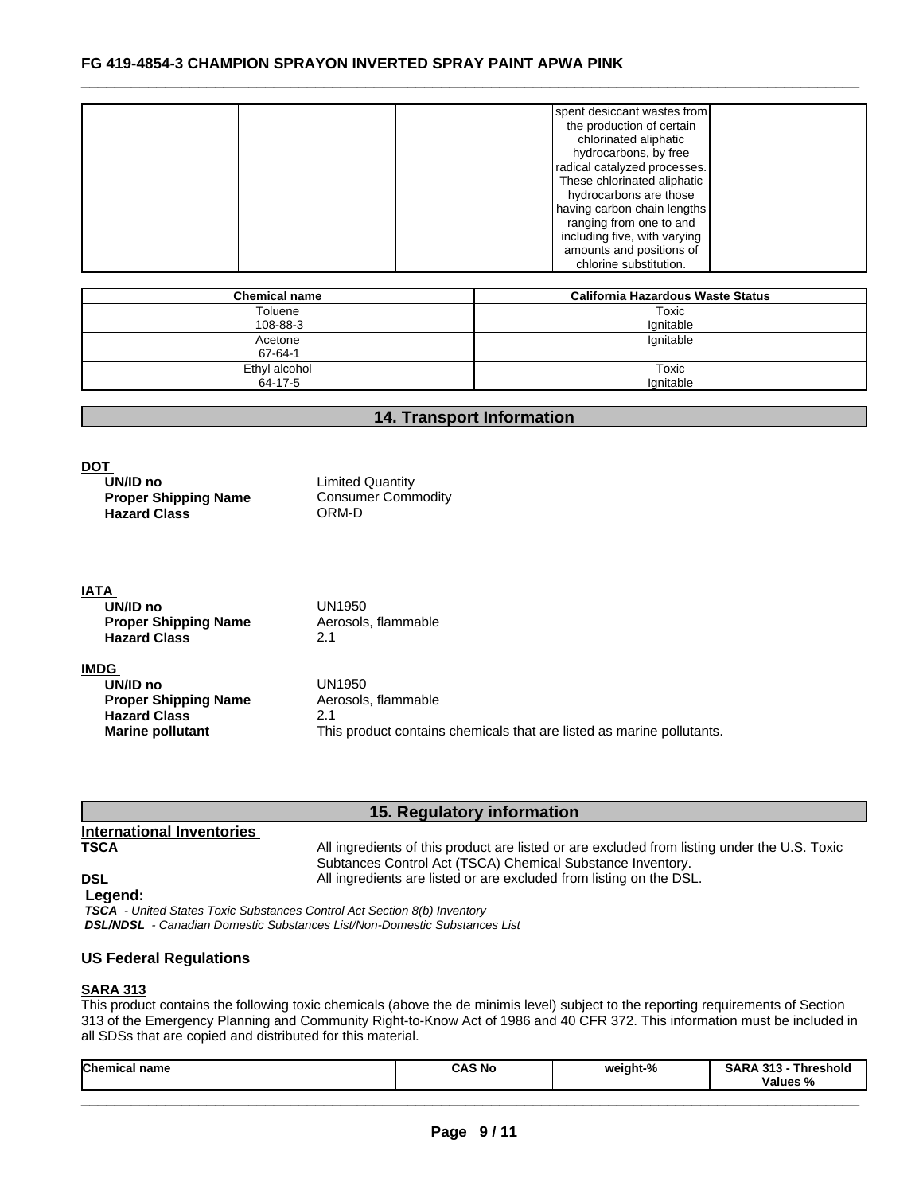| spent desiccant wastes from  |
|------------------------------|
| the production of certain    |
| chlorinated aliphatic        |
| hydrocarbons, by free        |
| radical catalyzed processes. |
| These chlorinated aliphatic  |
| hydrocarbons are those       |
| having carbon chain lengths  |
| ranging from one to and      |
| including five, with varying |
| amounts and positions of     |
| chlorine substitution.       |

| <b>Chemical name</b> | California Hazardous Waste Status |
|----------------------|-----------------------------------|
| Toluene              | Toxic                             |
| 108-88-3             | Ignitable                         |
| Acetone              | Ignitable                         |
| 67-64-1              |                                   |
| Ethyl alcohol        | Toxic                             |
| 64-17-5              | lgnitable                         |

# **14. Transport Information**

| DOT<br>UN/ID no<br><b>Proper Shipping Name</b><br><b>Hazard Class</b>                                    | <b>Limited Quantity</b><br><b>Consumer Commodity</b><br>ORM-D                                                 |
|----------------------------------------------------------------------------------------------------------|---------------------------------------------------------------------------------------------------------------|
| IATA<br>UN/ID no<br><b>Proper Shipping Name</b><br><b>Hazard Class</b>                                   | UN1950<br>Aerosols, flammable<br>2.1                                                                          |
| <b>IMDG</b><br>UN/ID no<br><b>Proper Shipping Name</b><br><b>Hazard Class</b><br><b>Marine pollutant</b> | UN1950<br>Aerosols, flammable<br>2.1<br>This product contains chemicals that are listed as marine pollutants. |

# **15. Regulatory information**

# **International Inventories**

**TSCA** All ingredients of this product are listed or are excluded from listing under the U.S. Toxic Subtances Control Act (TSCA) Chemical Substance Inventory. **DSL DSL All ingredients are listed or are excluded from listing on the DSL.** 

 **Legend:** 

 *TSCA - United States Toxic Substances Control Act Section 8(b) Inventory DSL/NDSL - Canadian Domestic Substances List/Non-Domestic Substances List*

# **US Federal Regulations**

#### **SARA 313**

This product contains the following toxic chemicals (above the de minimis level) subject to the reporting requirements of Section 313 of the Emergency Planning and Community Right-to-Know Act of 1986 and 40 CFR 372. This information must be included in all SDSs that are copied and distributed for this material.

| <b>Chemical</b><br>name | <b>CAS No</b><br>$\sim$ $\sim$ $\sim$ | <b>د م</b><br>wair | <br>: ^ P<br>hreshold<br><b>Values</b> |
|-------------------------|---------------------------------------|--------------------|----------------------------------------|
|                         |                                       |                    |                                        |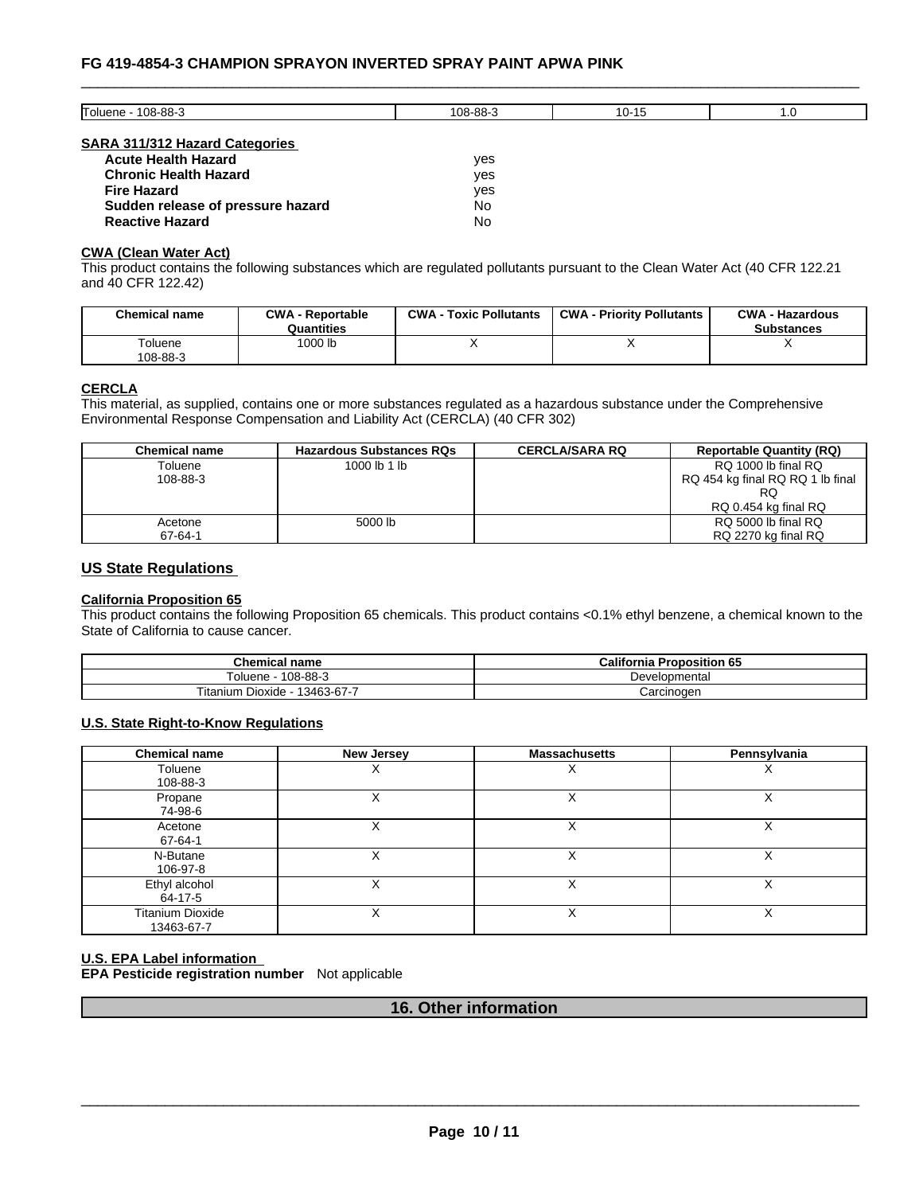| Toluene - 108-88-3                    | 108-88-3  | $10-15$ | 1.0 |
|---------------------------------------|-----------|---------|-----|
|                                       |           |         |     |
| <b>SARA 311/312 Hazard Categories</b> |           |         |     |
| <b>Acute Health Hazard</b>            | ves       |         |     |
| <b>Chronic Health Hazard</b>          | ves       |         |     |
| <b>Fire Hazard</b>                    | ves       |         |     |
| Sudden release of pressure hazard     | No        |         |     |
| <b>Reactive Hazard</b>                | <b>No</b> |         |     |

#### **CWA (Clean WaterAct)**

This product contains the following substances which are regulated pollutants pursuant to the Clean Water Act (40 CFR 122.21 and 40 CFR 122.42)

| <b>Chemical name</b> | <b>CWA - Reportable</b><br>Quantities | <b>CWA - Toxic Pollutants</b> | <b>CWA - Priority Pollutants</b> | <b>CWA - Hazardous</b><br><b>Substances</b> |
|----------------------|---------------------------------------|-------------------------------|----------------------------------|---------------------------------------------|
| Toluene<br>108-88-3  | 1000 lb                               |                               |                                  |                                             |

#### **CERCLA**

This material, as supplied, contains one or more substances regulated as a hazardous substance under the Comprehensive Environmental Response Compensation and Liability Act (CERCLA) (40 CFR 302)

| <b>Chemical name</b> | <b>Hazardous Substances RQs</b> | <b>CERCLA/SARA RQ</b> | <b>Reportable Quantity (RQ)</b>  |
|----------------------|---------------------------------|-----------------------|----------------------------------|
| Toluene              | 1000 lb 1 lb                    |                       | RQ 1000 lb final RQ              |
| 108-88-3             |                                 |                       | RQ 454 kg final RQ RQ 1 lb final |
|                      |                                 |                       | RQ                               |
|                      |                                 |                       | RQ 0.454 kg final RQ             |
| Acetone              | 5000 lb                         |                       | RQ 5000 lb final RQ              |
| 67-64-1              |                                 |                       | RQ 2270 kg final RQ              |

#### **US State Regulations**

#### **California Proposition 65**

This product contains the following Proposition 65 chemicals. This product contains <0.1% ethyl benzene, a chemical known to the State of California to cause cancer.

| <b>Chemical name</b>                          | California<br><b>Proposition 65</b> |
|-----------------------------------------------|-------------------------------------|
| 108-88-3<br>roluene                           | Developmental                       |
| $-$<br>$13463 - 67 - 7$<br>ïtanium<br>Dioxide | Carcinoger                          |

# **U.S. State Right-to-Know Regulations**

| <b>Chemical name</b>           | <b>New Jersey</b> | <b>Massachusetts</b> | Pennsylvania |
|--------------------------------|-------------------|----------------------|--------------|
| Toluene<br>108-88-3            |                   | ⌒                    | A            |
| Propane<br>74-98-6             |                   |                      | ⌒            |
| Acetone<br>67-64-1             |                   |                      |              |
| N-Butane<br>106-97-8           |                   |                      | ⋏            |
| Ethyl alcohol<br>64-17-5       | v                 | $\checkmark$         | X            |
| Titanium Dioxide<br>13463-67-7 |                   |                      |              |

# **U.S. EPA Label information**

**EPA Pesticide registration number** Not applicable

# **16. Other information**